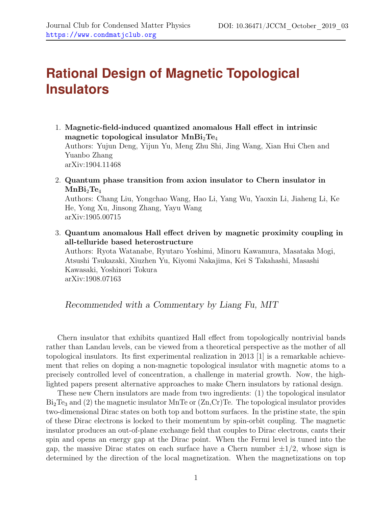## **Rational Design of Magnetic Topological Insulators**

- 1. Magnetic-field-induced quantized anomalous Hall effect in intrinsic magnetic topological insulator  $MnBi<sub>2</sub>Te<sub>4</sub>$ Authors: Yujun Deng, Yijun Yu, Meng Zhu Shi, Jing Wang, Xian Hui Chen and Yuanbo Zhang arXiv:1904.11468
- 2. Quantum phase transition from axion insulator to Chern insulator in  $MnBi_2Te_4$

Authors: Chang Liu, Yongchao Wang, Hao Li, Yang Wu, Yaoxin Li, Jiaheng Li, Ke He, Yong Xu, Jinsong Zhang, Yayu Wang arXiv:1905.00715

3. Quantum anomalous Hall effect driven by magnetic proximity coupling in all-telluride based heterostructure

Authors: Ryota Watanabe, Ryutaro Yoshimi, Minoru Kawamura, Masataka Mogi, Atsushi Tsukazaki, Xiuzhen Yu, Kiyomi Nakajima, Kei S Takahashi, Masashi Kawasaki, Yoshinori Tokura arXiv:1908.07163

Recommended with a Commentary by Liang Fu, MIT

Chern insulator that exhibits quantized Hall effect from topologically nontrivial bands rather than Landau levels, can be viewed from a theoretical perspective as the mother of all topological insulators. Its first experimental realization in 2013 [\[1\]](#page-2-0) is a remarkable achievement that relies on doping a non-magnetic topological insulator with magnetic atoms to a precisely controlled level of concentration, a challenge in material growth. Now, the highlighted papers present alternative approaches to make Chern insulators by rational design.

These new Chern insulators are made from two ingredients: (1) the topological insulator  $Bi<sub>2</sub>Te<sub>3</sub>$  and (2) the magnetic insulator MnTe or  $(Zn,Cr)Te$ . The topological insulator provides two-dimensional Dirac states on both top and bottom surfaces. In the pristine state, the spin of these Dirac electrons is locked to their momentum by spin-orbit coupling. The magnetic insulator produces an out-of-plane exchange field that couples to Dirac electrons, cants their spin and opens an energy gap at the Dirac point. When the Fermi level is tuned into the gap, the massive Dirac states on each surface have a Chern number  $\pm 1/2$ , whose sign is determined by the direction of the local magnetization. When the magnetizations on top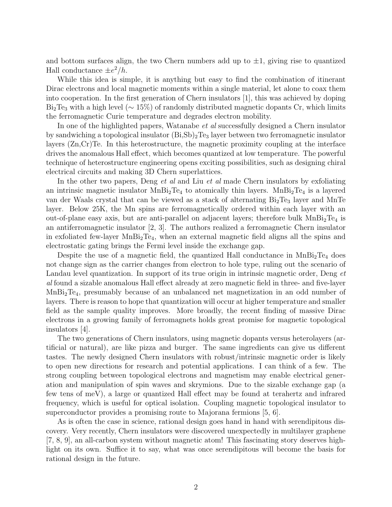and bottom surfaces align, the two Chern numbers add up to  $\pm 1$ , giving rise to quantized Hall conductance  $\pm e^2/h$ .

While this idea is simple, it is anything but easy to find the combination of itinerant Dirac electrons and local magnetic moments within a single material, let alone to coax them into cooperation. In the first generation of Chern insulators [\[1\]](#page-2-0), this was achieved by doping  $Bi<sub>2</sub>Te<sub>3</sub>$  with a high level ( $\sim 15\%$ ) of randomly distributed magnetic dopants Cr, which limits the ferromagnetic Curie temperature and degrades electron mobility.

In one of the highlighted papers, Watanabe *et al* successfully designed a Chern insulator by sandwiching a topological insulator  $(Bi, Sb)<sub>2</sub>Te<sub>3</sub>$  layer between two ferromagnetic insulator layers (Zn,Cr)Te. In this heterostructure, the magnetic proximity coupling at the interface drives the anomalous Hall effect, which becomes quantized at low temperature. The powerful technique of heterostructure engineering opens exciting possibilities, such as designing chiral electrical circuits and making 3D Chern superlattices.

In the other two papers, Deng *et al* and Liu *et al* made Chern insulators by exfoliating an intrinsic magnetic insulator  $MnBi<sub>2</sub>Te<sub>4</sub>$  to atomically thin layers.  $MnBi<sub>2</sub>Te<sub>4</sub>$  is a layered van der Waals crystal that can be viewed as a stack of alternating  $Bi_2Te_3$  layer and MnTe layer. Below 25K, the Mn spins are ferromagnetically ordered within each layer with an out-of-plane easy axis, but are anti-parallel on adjacent layers; therefore bulk  $MnBi_2Te_4$  is an antiferromagnetic insulator [\[2,](#page-2-1) [3\]](#page-2-2). The authors realized a ferromagnetic Chern insulator in exfoliated few-layer  $MnBi<sub>2</sub>Te<sub>4</sub>$ , when an external magnetic field aligns all the spins and electrostatic gating brings the Fermi level inside the exchange gap.

Despite the use of a magnetic field, the quantized Hall conductance in  $MnBi<sub>2</sub>Te<sub>4</sub>$  does not change sign as the carrier changes from electron to hole type, ruling out the scenario of Landau level quantization. In support of its true origin in intrinsic magnetic order, Deng et al found a sizable anomalous Hall effect already at zero magnetic field in three- and five-layer MnBi2Te4, presumably because of an unbalanced net magnetization in an odd number of layers. There is reason to hope that quantization will occur at higher temperature and smaller field as the sample quality improves. More broadly, the recent finding of massive Dirac electrons in a growing family of ferromagnets holds great promise for magnetic topological insulators [\[4\]](#page-2-3).

The two generations of Chern insulators, using magnetic dopants versus heterolayers (artificial or natural), are like pizza and burger. The same ingredients can give us different tastes. The newly designed Chern insulators with robust/intrinsic magnetic order is likely to open new directions for research and potential applications. I can think of a few. The strong coupling between topological electrons and magnetism may enable electrical generation and manipulation of spin waves and skrymions. Due to the sizable exchange gap (a few tens of meV), a large or quantized Hall effect may be found at terahertz and infrared frequency, which is useful for optical isolation. Coupling magnetic topological insulator to superconductor provides a promising route to Majorana fermions [\[5,](#page-2-4) [6\]](#page-2-5).

As is often the case in science, rational design goes hand in hand with serendipitous discovery. Very recently, Chern insulators were discovered unexpectedly in multilayer graphene [\[7,](#page-2-6) [8,](#page-2-7) [9\]](#page-2-8), an all-carbon system without magnetic atom! This fascinating story deserves highlight on its own. Suffice it to say, what was once serendipitous will become the basis for rational design in the future.